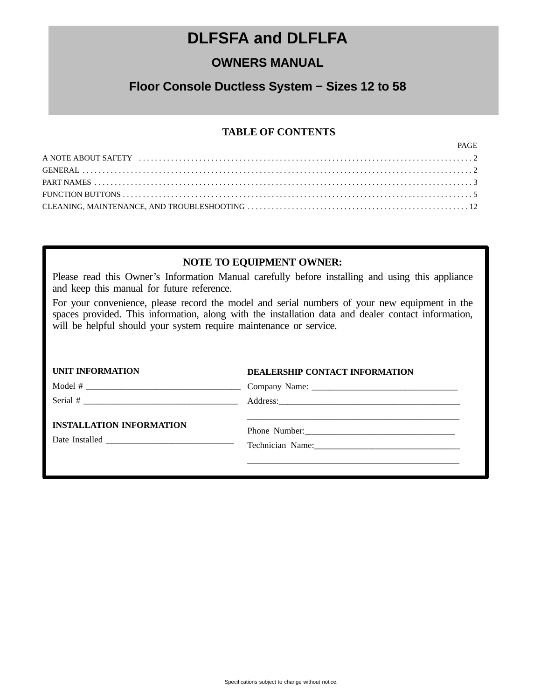## **DLFSFA and DLFLFA**

## **OWNERS MANUAL**

### **Floor Console Ductless System − Sizes 12 to 58**

### **TABLE OF CONTENTS**

| PAGE |
|------|
|      |
|      |
|      |
|      |
|      |

### **NOTE TO EQUIPMENT OWNER:**

Please read this Owner's Information Manual carefully before installing and using this appliance and keep this manual for future reference.

For your convenience, please record the model and serial numbers of your new equipment in the spaces provided. This information, along with the installation data and dealer contact information, will be helpful should your system require maintenance or service.

| <b>UNIT INFORMATION</b>         | <b>DEALERSHIP CONTACT INFORMATION</b> |
|---------------------------------|---------------------------------------|
|                                 |                                       |
|                                 |                                       |
| <b>INSTALLATION INFORMATION</b> | Technician Name:<br><u> </u>          |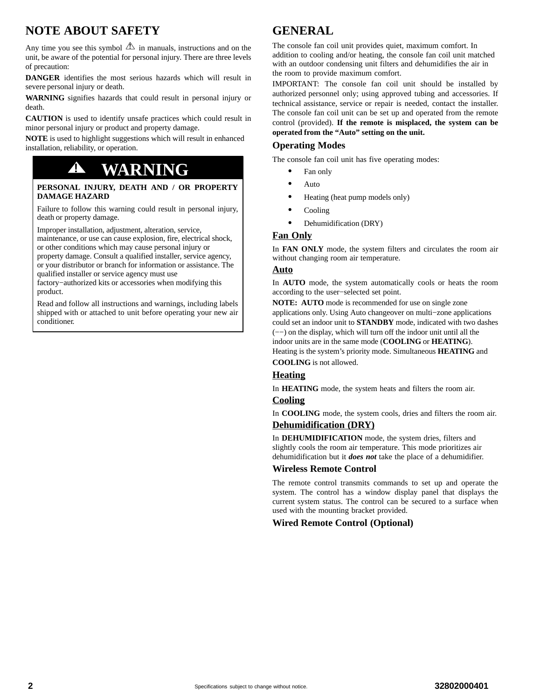## <span id="page-1-0"></span>**NOTE ABOUT SAFETY**

Any time you see this symbol  $\Delta$  in manuals, instructions and on the unit, be aware of the potential for personal injury. There are three levels of precaution:

**DANGER** identifies the most serious hazards which will result in severe personal injury or death.

**WARNING** signifies hazards that could result in personal injury or death.

**CAUTION** is used to identify unsafe practices which could result in minor personal injury or product and property damage.

**NOTE** is used to highlight suggestions which will result in enhanced installation, reliability, or operation.

## **! WARNING**

#### **PERSONAL INJURY, DEATH AND / OR PROPERTY DAMAGE HAZARD**

Failure to follow this warning could result in personal injury, death or property damage.

Improper installation, adjustment, alteration, service, maintenance, or use can cause explosion, fire, electrical shock, or other conditions which may cause personal injury or property damage. Consult a qualified installer, service agency,

or your distributor or branch for information or assistance. The qualified installer or service agency must use factory−authorized kits or accessories when modifying this

product.

Read and follow all instructions and warnings, including labels shipped with or attached to unit before operating your new air conditioner.

## **GENERAL**

The console fan coil unit provides quiet, maximum comfort. In addition to cooling and/or heating, the console fan coil unit matched with an outdoor condensing unit filters and dehumidifies the air in the room to provide maximum comfort.

IMPORTANT: The console fan coil unit should be installed by authorized personnel only; using approved tubing and accessories. If technical assistance, service or repair is needed, contact the installer. The console fan coil unit can be set up and operated from the remote control (provided). **If the remote is misplaced, the system can be operated from the "Auto" setting on the unit.**

#### **Operating Modes**

The console fan coil unit has five operating modes:

- $\bullet$ Fan only
- $\bullet$ Auto
- $\bullet$ Heating (heat pump models only)
- $\bullet$ Cooling
- $\bullet$ Dehumidification (DRY)

#### **Fan Only**

In **FAN ONLY** mode, the system filters and circulates the room air without changing room air temperature.

#### **Auto**

In **AUTO** mode, the system automatically cools or heats the room according to the user−selected set point.

**NOTE: AUTO** mode is recommended for use on single zone applications only. Using Auto changeover on multi−zone applications could set an indoor unit to **STANDBY** mode, indicated with two dashes (−−) on the display, which will turn off the indoor unit until all the indoor units are in the same mode (**COOLING** or **HEATING**). Heating is the system's priority mode. Simultaneous **HEATING** and **COOLING** is not allowed.

#### **Heating**

In **HEATING** mode, the system heats and filters the room air.

#### **Cooling**

In **COOLING** mode, the system cools, dries and filters the room air. **Dehumidification (DRY)**

In **DEHUMIDIFICATION** mode, the system dries, filters and slightly cools the room air temperature. This mode prioritizes air dehumidification but it *does not* take the place of a dehumidifier.

#### **Wireless Remote Control**

The remote control transmits commands to set up and operate the system. The control has a window display panel that displays the current system status. The control can be secured to a surface when used with the mounting bracket provided.

#### **Wired Remote Control (Optional)**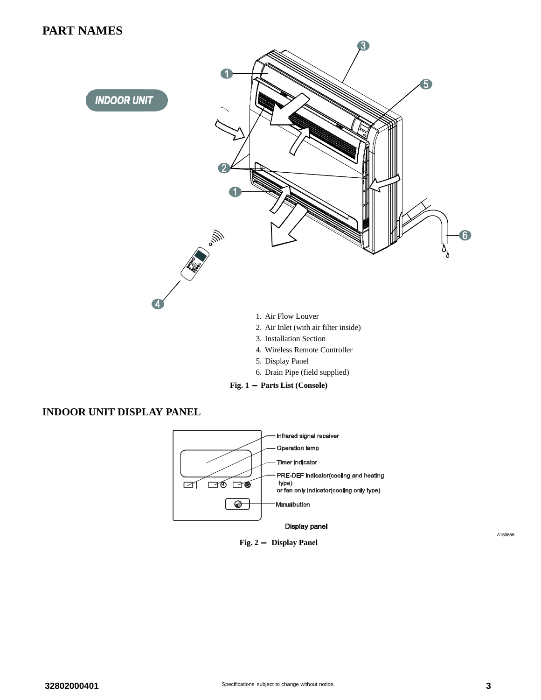### <span id="page-2-0"></span>**PART NAMES**



**Fig. 1 - Parts List (Console)**

### **INDOOR UNIT DISPLAY PANEL**



**Fig. 2 - Display Panel**

A150655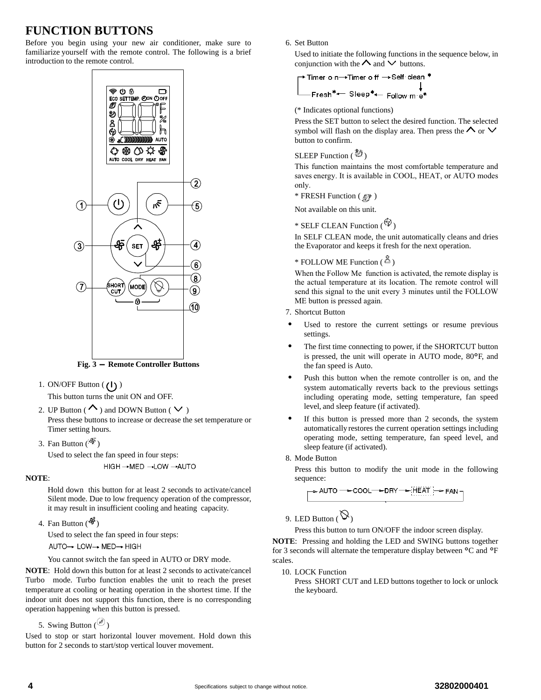## <span id="page-3-0"></span>**FUNCTION BUTTONS**

Before you begin using your new air conditioner, make sure to familiarize yourself with the remote control. The following is a brief introduction to the remote control.



**Fig. 3 - Remote Controller Buttons**

1. ON/OFF Button  $(1)$ 

This button turns the unit ON and OFF.

2. UP Button ( $\sim$ ) and DOWN Button ( $\vee$ ) Press these buttons to increase or decrease the set temperature or Timer setting hours.

3. Fan Button  $(\frac{45}{3})$ 

Used to select the fan speed in four steps: HIGH → MED → LOW → AUTO

#### **NOTE**:

Hold down this button for at least 2 seconds to activate/cancel Silent mode. Due to low frequency operation of the compressor, it may result in insufficient cooling and heating capacity.

4. Fan Button  $(\frac{4}{9})$ 

Used to select the fan speed in four steps: AUTO→ LOW→ MED→ HIGH

You cannot switch the fan speed in AUTO or DRY mode.

**NOTE**: Hold down this button for at least 2 seconds to activate/cancel Turbo mode. Turbo function enables the unit to reach the preset temperature at cooling or heating operation in the shortest time. If the indoor unit does not support this function, there is no corresponding operation happening when this button is pressed.

5. Swing Button  $\binom{65}{}$ 

Used to stop or start horizontal louver movement. Hold down this button for 2 seconds to start/stop vertical louver movement.

6. Set Button

Used to initiate the following functions in the sequence below, in conjunction with the  $\Lambda$  and  $\vee$  buttons.

(\* Indicates optional functions)

Press the SET button to select the desired function. The selected symbol will flash on the display area. Then press the  $\land$  or  $\lor$ button to confirm.

#### SLEEP Function  $(\bigotimes^{\mathcal{B}})$

This function maintains the most comfortable temperature and saves energy. It is available in COOL, HEAT, or AUTO modes only.

 $*$  FRESH Function  $(\mathscr{D})$ 

Not available on this unit.

\* SELF CLEAN Function  $(\frac{\mathscr{C}^2}{\mathscr{C}})$ 

In SELF CLEAN mode, the unit automatically cleans and dries the Evaporator and keeps it fresh for the next operation.

#### \* FOLLOW ME Function  $(\triangle)$

When the Follow Me function is activated, the remote display is the actual temperature at its location. The remote control will send this signal to the unit every 3 minutes until the FOLLOW ME button is pressed again.

- 7. Shortcut Button
- - Used to restore the current settings or resume previous settings.
- - The first time connecting to power, if the SHORTCUT button is pressed, the unit will operate in AUTO mode, 80°F, and the fan speed is Auto.
- - Push this button when the remote controller is on, and the system automatically reverts back to the previous settings including operating mode, setting temperature, fan speed level, and sleep feature (if activated).
- - If this button is pressed more than 2 seconds, the system automatically restores the current operation settings including operating mode, setting temperature, fan speed level, and sleep feature (if activated).
- 8. Mode Button

Press this button to modify the unit mode in the following sequence:

9. LED Button ( $\mathcal{D}_1$ )

Press this button to turn ON/OFF the indoor screen display.

**NOTE**: Pressing and holding the LED and SWING buttons together for 3 seconds will alternate the temperature display between °C and °<sup>F</sup> scales.

10. LOCK Function

Press SHORT CUT and LED buttons together to lock or unlock the keyboard.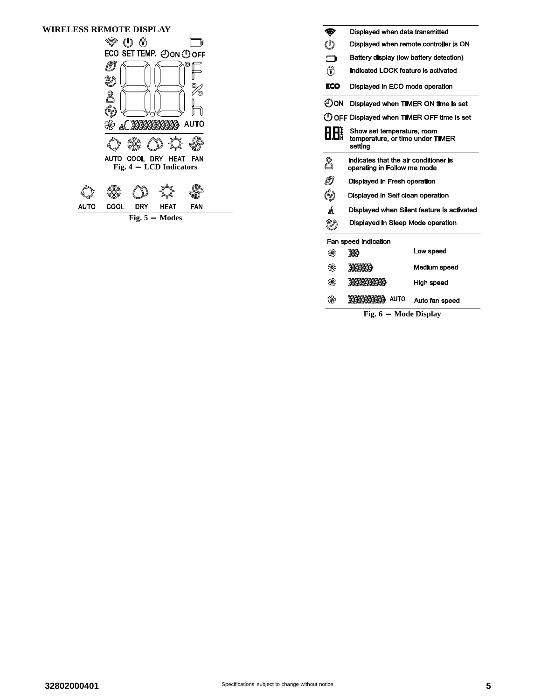| WIRELESS REMOTE DISPLAY |                                   |                                                 |      |                        |
|-------------------------|-----------------------------------|-------------------------------------------------|------|------------------------|
|                         | Š,                                | . A<br>(!)                                      |      | D                      |
|                         |                                   | ECO SET TEMP. OON OOFF                          |      |                        |
|                         | $\mathbb{C}^{\circ}_{\mathbb{R}}$ |                                                 |      | ⊚<br>Θ.<br><b>AUTO</b> |
|                         |                                   |                                                 |      |                        |
|                         |                                   |                                                 |      |                        |
|                         |                                   | AUTO COOL DRY HEAT<br>Fig. $4 - LCD$ Indicators |      | <b>FAN</b>             |
|                         |                                   |                                                 |      |                        |
| AUTO                    | COOL                              | DRY                                             | HEAT | FAN                    |
|                         |                                   | Fig. $5 -$ Modes                                |      |                        |

| Ş          | Displayed when data transmitted                                           |                |  |  |  |
|------------|---------------------------------------------------------------------------|----------------|--|--|--|
| U          | Displayed when remote controller is ON                                    |                |  |  |  |
| <b>៣</b>   | Battery display (low battery detection)                                   |                |  |  |  |
| ∩          | Indicated LOCK feature is activated                                       |                |  |  |  |
| ECO        | Displayed in ECO mode operation                                           |                |  |  |  |
| ЮC         | Displayed when TIMER ON time is set                                       |                |  |  |  |
|            | ( I) OFF Displayed when TIMER OFF time is set                             |                |  |  |  |
|            | Show set temperature, room<br>temperature, or time under TIMER<br>setting |                |  |  |  |
| 8          | Indicates that the air conditioner is<br>operating in Follow me mode      |                |  |  |  |
| ØJ         | Displayed in Fresh operation                                              |                |  |  |  |
| (وه)<br>په | Displayed in Self clean operation                                         |                |  |  |  |
| á          | Displayed when Silent feature is activated                                |                |  |  |  |
| 窎          | Displayed in Sleep Mode operation                                         |                |  |  |  |
|            | Fan speed indication                                                      |                |  |  |  |
| ₩          | W)                                                                        | Low speed      |  |  |  |
| ₩          | <b>SANDARIA</b>                                                           | Medium speed   |  |  |  |
| ₩          | <b><i>BARBARARA</i></b>                                                   | High speed     |  |  |  |
| ₩          | <b>ANANANANANAN</b> AUTO                                                  | Auto fan speed |  |  |  |

**Fig. 6 - Mode Display**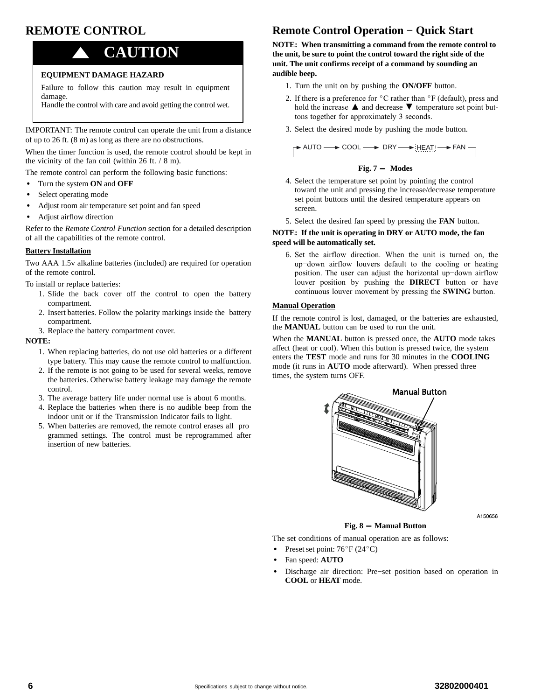## **REMOTE CONTROL**

## ! **CAUTION**

#### **EQUIPMENT DAMAGE HAZARD**

Failure to follow this caution may result in equipment damage.

Handle the control with care and avoid getting the control wet.

IMPORTANT: The remote control can operate the unit from a distance of up to 26 ft. (8 m) as long as there are no obstructions.

When the timer function is used, the remote control should be kept in the vicinity of the fan coil (within 26 ft. / 8 m).

The remote control can perform the following basic functions:

- $\bullet$ Turn the system **ON** and **OFF**
- -Select operating mode
- $\bullet$ Adjust room air temperature set point and fan speed
- -Adjust airflow direction

Refer to the *Remote Control Function* section for a detailed description of all the capabilities of the remote control.

#### **Battery Installation**

Two AAA 1.5v alkaline batteries (included) are required for operation of the remote control.

To install or replace batteries:

- 1. Slide the back cover off the control to open the battery compartment.
- 2. Insert batteries. Follow the polarity markings inside the battery compartment.
- 3. Replace the battery compartment cover.

#### **NOTE:**

- 1. When replacing batteries, do not use old batteries or a different type battery. This may cause the remote control to malfunction.
- 2. If the remote is not going to be used for several weeks, remove the batteries. Otherwise battery leakage may damage the remote control.
- 3. The average battery life under normal use is about 6 months.
- 4. Replace the batteries when there is no audible beep from the indoor unit or if the Transmission Indicator fails to light.
- 5. When batteries are removed, the remote control erases all pro grammed settings. The control must be reprogrammed after insertion of new batteries.

## **Remote Control Operation − Quick Start**

**NOTE: When transmitting a command from the remote control to the unit, be sure to point the control toward the right side of the unit. The unit confirms receipt of a command by sounding an audible beep.**

- 1. Turn the unit on by pushing the **ON/OFF** button.
- 2. If there is a preference for  $\degree$ C rather than  $\degree$ F (default), press and hold the increase ▲ and decrease ▼ temperature set point buttons together for approximately 3 seconds.
- 3. Select the desired mode by pushing the mode button.

$$
\rightarrow \text{AUTO} \longrightarrow \text{COOL} \longrightarrow \text{DRY} \longrightarrow \underbrace{\text{HEAT}} \longrightarrow \text{FAN} \longrightarrow \text{TAN}
$$

$$
Fig. 7 - Modes
$$

- 4. Select the temperature set point by pointing the control toward the unit and pressing the increase/decrease temperature set point buttons until the desired temperature appears on screen.
- 5. Select the desired fan speed by pressing the **FAN** button.

#### **NOTE: If the unit is operating in DRY or AUTO mode, the fan speed will be automatically set.**

6. Set the airflow direction. When the unit is turned on, the up−down airflow louvers default to the cooling or heating position. The user can adjust the horizontal up−down airflow louver position by pushing the **DIRECT** button or have continuous louver movement by pressing the **SWING** button.

#### **Manual Operation**

If the remote control is lost, damaged, or the batteries are exhausted, the **MANUAL** button can be used to run the unit.

When the **MANUAL** button is pressed once, the **AUTO** mode takes affect (heat or cool). When this button is pressed twice, the system enters the **TEST** mode and runs for 30 minutes in the **COOLING** mode (it runs in **AUTO** mode afterward). When pressed three times, the system turns OFF.



A150656

**Fig. 8 - Manual Button**

The set conditions of manual operation are as follows:

- Preset set point:  $76^{\circ}$ F (24 $^{\circ}$ C)
- -Fan speed: **AUTO**
- - Discharge air direction: Pre−set position based on operation in **COOL** or **HEAT** mode.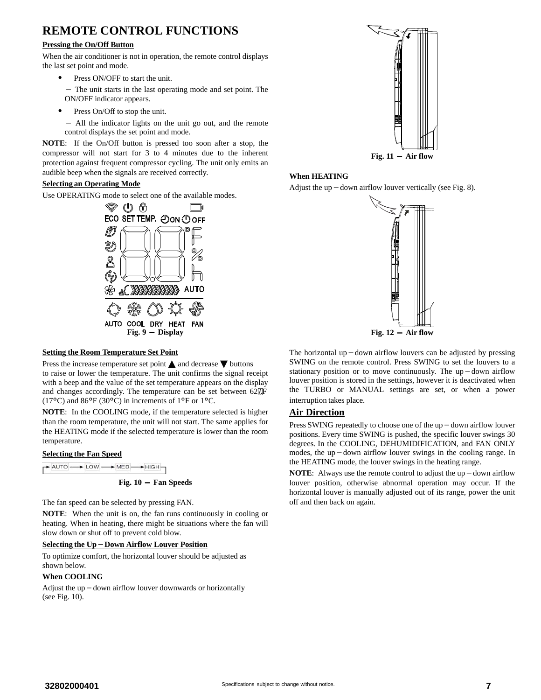## **REMOTE CONTROL FUNCTIONS**

#### **Pressing the On/Off Button**

When the air conditioner is not in operation, the remote control displays the last set point and mode.

-Press ON/OFF to start the unit.

- The unit starts in the last operating mode and set point. The ON/OFF indicator appears.

-Press On/Off to stop the unit.

- All the indicator lights on the unit go out, and the remote control displays the set point and mode.

**NOTE**: If the On/Off button is pressed too soon after a stop, the compressor will not start for 3 to 4 minutes due to the inherent protection against frequent compressor cycling. The unit only emits an audible beep when the signals are received correctly.

#### **Selecting an Operating Mode**

Use OPERATING mode to select one of the available modes.



#### **Setting the Room Temperature Set Point**

Press the increase temperature set point  $\triangle$  and decrease  $\nabla$  buttons to raise or lower the temperature. The unit confirms the signal receipt with a beep and the value of the set temperature appears on the display and changes accordingly. The temperature can be set between  $62E$ F (17°C) and 86°F (30°C) in increments of 1°F or 1°C.

**NOTE**: In the COOLING mode, if the temperature selected is higher than the room temperature, the unit will not start. The same applies for the HEATING mode if the selected temperature is lower than the room temperature.

#### **Selecting the Fan Speed**

| $\rightarrow$ AUTO $\rightarrow$ LOW $\rightarrow$ MED $\rightarrow$ HIGH- |  |  |  |  |
|----------------------------------------------------------------------------|--|--|--|--|

#### **Fig. 10 - Fan Speeds**

The fan speed can be selected by pressing FAN.

**NOTE**: When the unit is on, the fan runs continuously in cooling or heating. When in heating, there might be situations where the fan will slow down or shut off to prevent cold blow.

### **Selecting the Up**-**Down Airflow Louver Position**

To optimize comfort, the horizontal louver should be adjusted as shown below.

#### **When COOLING**

Adjust the up-down airflow louver downwards or horizontally (see Fig. 10).



#### **When HEATING**

Adjust the up-down airflow louver vertically (see Fig. 8).



The horizontal up – down airflow louvers can be adjusted by pressing SWING on the remote control. Press SWING to set the louvers to a stationary position or to move continuously. The up – down airflow louver position is stored in the settings, however it is deactivated when the TURBO or MANUAL settings are set, or when a power interruption takes place.

#### **Air Direction**

Press SWING repeatedly to choose one of the up – down airflow louver positions. Every time SWING is pushed, the specific louver swings 30 degrees. In the COOLING, DEHUMIDIFICATION, and FAN ONLY degrees. In the COOLING, DEHOMIDIFICATION, and FAIN ONLY<br>modes, the up – down airflow louver swings in the cooling range. In the HEATING mode, the louver swings in the heating range.

**NOTE**: Always use the remote control to adjust the up  $-\text{down}$  airflow louver position, otherwise abnormal operation may occur. If the horizontal louver is manually adjusted out of its range, power the unit off and then back on again.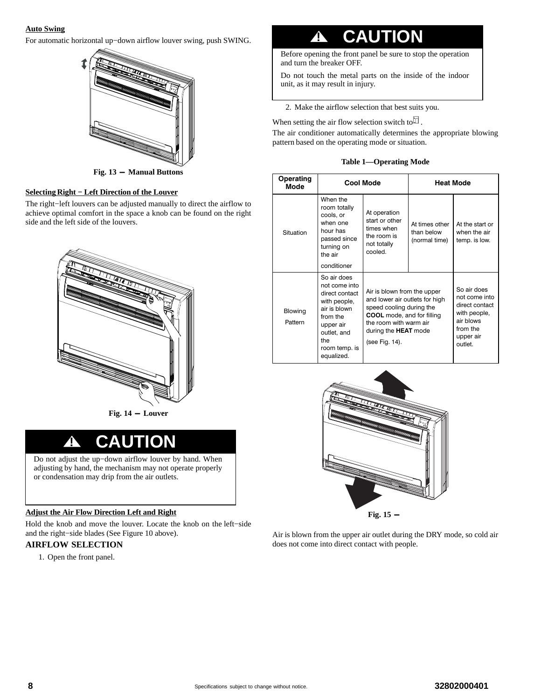#### **Auto Swing**

For automatic horizontal up−down airflow louver swing, push SWING.



**Fig. 13 - Manual Buttons**

#### **Selecting Right − Left Direction of the Louver**

The right−left louvers can be adjusted manually to direct the airflow to achieve optimal comfort in the space a knob can be found on the right side and the left side of the louvers.



**Fig. 14 - Louver**

## **! CAUTION**

Do not adjust the up−down airflow louver by hand. When adjusting by hand, the mechanism may not operate properly or condensation may drip from the air outlets.

#### **Adjust the Air Flow Direction Left and Right**

Hold the knob and move the louver. Locate the knob on the left−side and the right−side blades (See Figure 10 above).

#### **AIRFLOW SELECTION**

1. Open the front panel.

# **! CAUTION**

Before opening the front panel be sure to stop the operation and turn the breaker OFF.

Do not touch the metal parts on the inside of the indoor unit, as it may result in injury.

2. Make the airflow selection that best suits you.

When setting the air flow selection switch to  $^{\square}$ .

The air conditioner automatically determines the appropriate blowing pattern based on the operating mode or situation.

**Table 1—Operating Mode**

| Operating<br>Mode  | <b>Cool Mode</b>                                                                                                                                             |                                                                                                                                                                                                           | <b>Heat Mode</b>                              |                                                                                                                |
|--------------------|--------------------------------------------------------------------------------------------------------------------------------------------------------------|-----------------------------------------------------------------------------------------------------------------------------------------------------------------------------------------------------------|-----------------------------------------------|----------------------------------------------------------------------------------------------------------------|
| Situation          | When the<br>room totally<br>cools, or<br>when one<br>hour has<br>passed since<br>turning on<br>the air<br>conditioner                                        | At operation<br>start or other<br>times when<br>the room is<br>not totally<br>cooled.                                                                                                                     | At times other<br>than below<br>(normal time) | At the start or<br>when the air<br>temp. is low.                                                               |
| Blowing<br>Pattern | So air does<br>not come into<br>direct contact<br>with people,<br>air is blown<br>from the<br>upper air<br>outlet, and<br>the<br>room temp. is<br>equalized. | Air is blown from the upper<br>and lower air outlets for high<br>speed cooling during the<br><b>COOL</b> mode, and for filling<br>the room with warm air<br>during the <b>HEAT</b> mode<br>(see Fig. 14). |                                               | So air does<br>not come into<br>direct contact<br>with people,<br>air blows<br>from the<br>upper air<br>outlet |



Air is blown from the upper air outlet during the DRY mode, so cold air does not come into direct contact with people.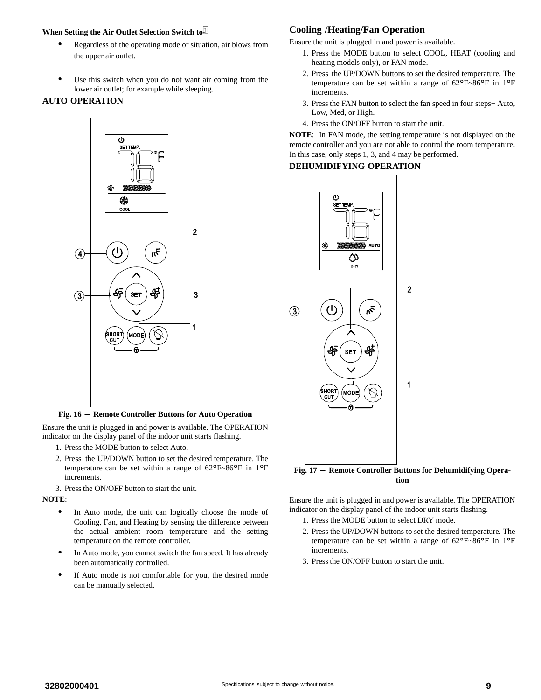#### **When Setting the Air Outlet Selection Switch to**

- $\bullet$  Regardless of the operating mode or situation, air blows from the upper air outlet.
- - Use this switch when you do not want air coming from the lower air outlet; for example while sleeping.

#### **AUTO OPERATION**



**Fig. 16 - Remote Controller Buttons for Auto Operation**

Ensure the unit is plugged in and power is available. The OPERATION indicator on the display panel of the indoor unit starts flashing.

- 1. Press the MODE button to select Auto.
- 2. Press the UP/DOWN button to set the desired temperature. The temperature can be set within a range of 62°F~86°F in 1°<sup>F</sup> increments.

3. Press the ON/OFF button to start the unit.

**NOTE**:

- $\bullet$  In Auto mode, the unit can logically choose the mode of Cooling, Fan, and Heating by sensing the difference between the actual ambient room temperature and the setting temperature on the remote controller.
- - In Auto mode, you cannot switch the fan speed. It has already been automatically controlled.
- - If Auto mode is not comfortable for you, the desired mode can be manually selected.

#### **Cooling /Heating/Fan Operation**

Ensure the unit is plugged in and power is available.

- 1. Press the MODE button to select COOL, HEAT (cooling and heating models only), or FAN mode.
- 2. Press the UP/DOWN buttons to set the desired temperature. The temperature can be set within a range of 62°F~86°F in 1°<sup>F</sup> increments.
- 3. Press the FAN button to select the fan speed in four steps− Auto, Low, Med, or High.
- 4. Press the ON/OFF button to start the unit.

**NOTE**: In FAN mode, the setting temperature is not displayed on the remote controller and you are not able to control the room temperature. In this case, only steps 1, 3, and 4 may be performed.

#### **DEHUMIDIFYING OPERATION**



Ensure the unit is plugged in and power is available. The OPERATION indicator on the display panel of the indoor unit starts flashing.

- 1. Press the MODE button to select DRY mode.
- 2. Press the UP/DOWN buttons to set the desired temperature. The temperature can be set within a range of 62°F~86°F in 1°<sup>F</sup> increments.
- 3. Press the ON/OFF button to start the unit.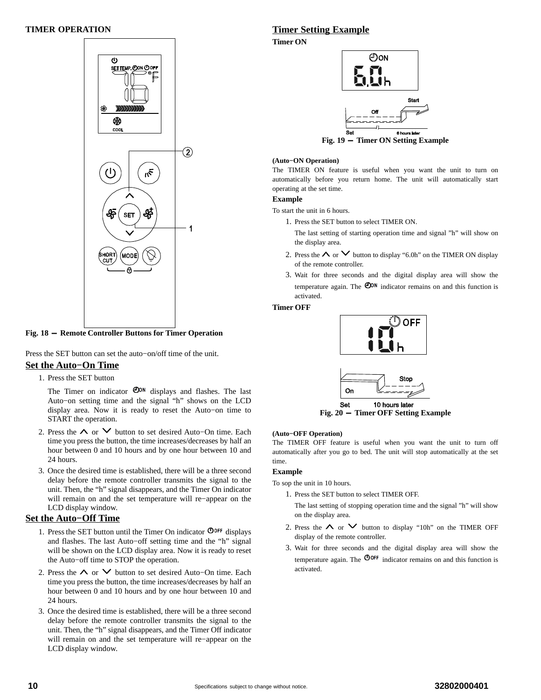#### **TIMER OPERATION**



#### **Fig. 18 - Remote Controller Buttons for Timer Operation**

Press the SET button can set the auto−on/off time of the unit.

#### **Set the Auto−On Time**

1. Press the SET button

The Timer on indicator  $\mathbf{O}^{on}$  displays and flashes. The last Auto−on setting time and the signal "h" shows on the LCD display area. Now it is ready to reset the Auto−on time to START the operation.

- 2. Press the ∧ or ∨ button to set desired Auto–On time. Each time you press the button, the time increases/decreases by half an hour between 0 and 10 hours and by one hour between 10 and 24 hours.
- 3. Once the desired time is established, there will be a three second delay before the remote controller transmits the signal to the unit. Then, the "h" signal disappears, and the Timer On indicator will remain on and the set temperature will re−appear on the LCD display window.

#### **Set the Auto−Off Time**

- 1. Press the SET button until the Timer On indicator  $\mathbf{Q}_{\text{OFF}}$  displays and flashes. The last Auto−off setting time and the "h" signal will be shown on the LCD display area. Now it is ready to reset the Auto−off time to STOP the operation.
- 2. Press the ∧ or ∨ button to set desired Auto–On time. Each time you press the button, the time increases/decreases by half an hour between 0 and 10 hours and by one hour between 10 and 24 hours.
- 3. Once the desired time is established, there will be a three second delay before the remote controller transmits the signal to the unit. Then, the "h" signal disappears, and the Timer Off indicator will remain on and the set temperature will re−appear on the LCD display window.

#### **Timer Setting Example**

**Timer ON**



#### **(Auto−ON Operation)**

The TIMER ON feature is useful when you want the unit to turn on automatically before you return home. The unit will automatically start operating at the set time.

#### **Example**

To start the unit in 6 hours.

- 1. Press the SET button to select TIMER ON.
	- The last setting of starting operation time and signal "h" will show on the display area.
- 2. Press the  $\land$  or  $\lor$  button to display "6.0h" on the TIMER ON display of the remote controller.
- 3. Wait for three seconds and the digital display area will show the temperature again. The  $\mathbf{O}^{\mathsf{ON}}$  indicator remains on and this function is activated.

#### **Timer OFF**





**Fig. 20 - Timer OFF Setting Example**

#### **(Auto−OFF Operation)**

The TIMER OFF feature is useful when you want the unit to turn off automatically after you go to bed. The unit will stop automatically at the set time.

#### **Example**

- To sop the unit in 10 hours.
	- 1. Press the SET button to select TIMER OFF.

The last setting of stopping operation time and the signal "h" will show on the display area.

- 2. Press the  $\land$  or  $\lor$  button to display "10h" on the TIMER OFF display of the remote controller.
- 3. Wait for three seconds and the digital display area will show the temperature again. The  $\mathbf{O}^{\text{OFF}}$  indicator remains on and this function is activated.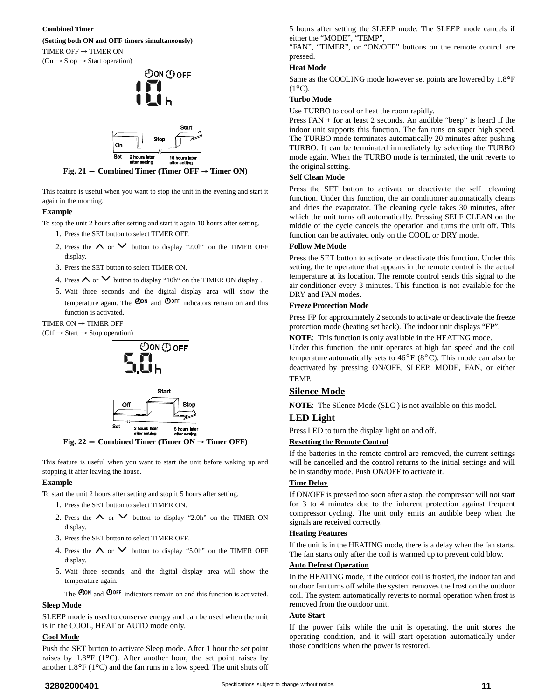#### **Combined Timer**

#### **(Setting both ON and OFF timers simultaneously)**

TIMER OFF  $\rightarrow$  TIMER ON  $(On \rightarrow Stop \rightarrow Start\ operation)$ 





**Fig. 21 – Combined Timer (Timer OFF**  $\rightarrow$  **Timer ON)** 

This feature is useful when you want to stop the unit in the evening and start it again in the morning.

#### **Example**

To stop the unit 2 hours after setting and start it again 10 hours after setting.

- 1. Press the SET button to select TIMER OFF.
- 2. Press the  $\land$  or  $\lor$  button to display "2.0h" on the TIMER OFF display.
- 3. Press the SET button to select TIMER ON.
- 4. Press  $\wedge$  or  $\vee$  button to display "10h" on the TIMER ON display.
- 5. Wait three seconds and the digital display area will show the temperature again. The  $\mathbf{O}^{OR}$  and  $\mathbf{O}^{OFF}$  indicators remain on and this function is activated.

#### TIMER ON  $\rightarrow$  TIMER OFF



**Fig. 22 - Combined Timer (Timer ON Timer OFF)**

This feature is useful when you want to start the unit before waking up and stopping it after leaving the house.

#### **Example**

To start the unit 2 hours after setting and stop it 5 hours after setting.

- 1. Press the SET button to select TIMER ON.
- 2. Press the  $\land$  or  $\lor$  button to display "2.0h" on the TIMER ON display.
- 3. Press the SET button to select TIMER OFF.
- 4. Press the  $\land$  or  $\lor$  button to display "5.0h" on the TIMER OFF display.
- 5. Wait three seconds, and the digital display area will show the temperature again.

The  $\bullet$ <sup>OON</sup> and  $\bullet$ <sup>OOFF</sup> indicators remain on and this function is activated.

#### **Sleep Mode**

SLEEP mode is used to conserve energy and can be used when the unit is in the COOL, HEAT or AUTO mode only.

#### **Cool Mode**

Push the SET button to activate Sleep mode. After 1 hour the set point raises by 1.8°F (1°C). After another hour, the set point raises by another  $1.8^{\circ}F(1^{\circ}C)$  and the fan runs in a low speed. The unit shuts off

5 hours after setting the SLEEP mode. The SLEEP mode cancels if either the "MODE", "TEMP",

"FAN", "TIMER", or "ON/OFF" buttons on the remote control are pressed.

#### **Heat Mode**

Same as the COOLING mode however set points are lowered by 1.8°<sup>F</sup>  $(1^{\circ}C).$ 

#### **Turbo Mode**

Use TURBO to cool or heat the room rapidly.

Press FAN + for at least 2 seconds. An audible "beep" is heard if the indoor unit supports this function. The fan runs on super high speed. The TURBO mode terminates automatically 20 minutes after pushing TURBO. It can be terminated immediately by selecting the TURBO mode again. When the TURBO mode is terminated, the unit reverts to the original setting.

#### **Self Clean Mode**

**Press the SET** button to activate or deactivate the self – cleaning function. Under this function, the air conditioner automatically cleans and dries the evaporator. The cleaning cycle takes 30 minutes, after which the unit turns off automatically. Pressing SELF CLEAN on the middle of the cycle cancels the operation and turns the unit off. This function can be activated only on the COOL or DRY mode.

#### **Follow Me Mode**

Press the SET button to activate or deactivate this function. Under this setting, the temperature that appears in the remote control is the actual temperature at its location. The remote control sends this signal to the air conditioner every 3 minutes. This function is not available for the DRY and FAN modes.

#### **Freeze Protection Mode**

Press FP for approximately 2 seconds to activate or deactivate the freeze protection mode (heating set back). The indoor unit displays "FP".

**NOTE**: This function is only available in the HEATING mode.

Under this function, the unit operates at high fan speed and the coil temperature automatically sets to  $46^{\circ}F (8^{\circ}C)$ . This mode can also be deactivated by pressing ON/OFF, SLEEP, MODE, FAN, or either TEMP.

#### **Silence Mode**

**NOTE**: The Silence Mode (SLC ) is not available on this model.

#### **LED Light**

Press LED to turn the display light on and off.

#### **Resetting the Remote Control**

If the batteries in the remote control are removed, the current settings will be cancelled and the control returns to the initial settings and will be in standby mode. Push ON/OFF to activate it.

#### **Time Delay**

If ON/OFF is pressed too soon after a stop, the compressor will not start for 3 to 4 minutes due to the inherent protection against frequent compressor cycling. The unit only emits an audible beep when the signals are received correctly.

#### **Heating Features**

If the unit is in the HEATING mode, there is a delay when the fan starts. The fan starts only after the coil is warmed up to prevent cold blow.

#### **Auto Defrost Operation**

In the HEATING mode, if the outdoor coil is frosted, the indoor fan and outdoor fan turns off while the system removes the frost on the outdoor coil. The system automatically reverts to normal operation when frost is removed from the outdoor unit.

#### **Auto Start**

If the power fails while the unit is operating, the unit stores the operating condition, and it will start operation automatically under those conditions when the power is restored.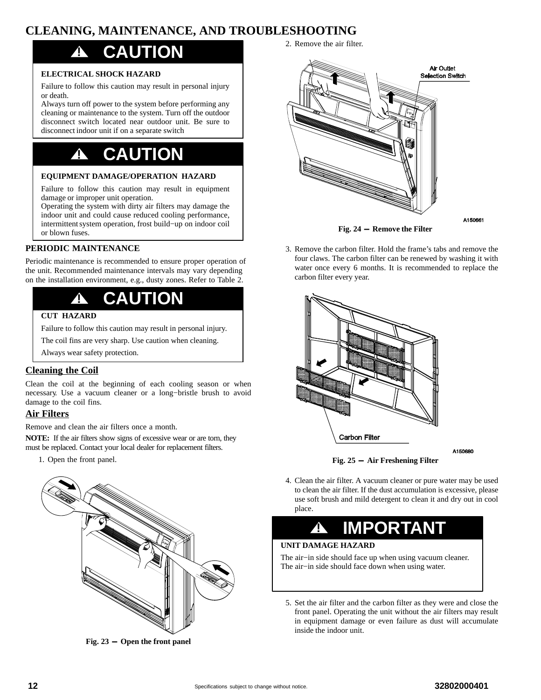### <span id="page-11-0"></span>**CLEANING, MAINTENANCE, AND TROUBLESHOOTING**

## **! CAUTION**

#### **ELECTRICAL SHOCK HAZARD**

Failure to follow this caution may result in personal injury or death.

Always turn off power to the system before performing any cleaning or maintenance to the system. Turn off the outdoor disconnect switch located near outdoor unit. Be sure to disconnect indoor unit if on a separate switch

## **! CAUTION**

#### **EQUIPMENT DAMAGE/OPERATION HAZARD**

Failure to follow this caution may result in equipment damage or improper unit operation.

Operating the system with dirty air filters may damage the indoor unit and could cause reduced cooling performance, intermittent system operation, frost build−up on indoor coil or blown fuses.

#### **PERIODIC MAINTENANCE**

Periodic maintenance is recommended to ensure proper operation of the unit. Recommended maintenance intervals may vary depending on the installation environment, e.g., dusty zones. Refer to Table [2](#page-13-0).

## **! CAUTION**

#### **CUT HAZARD**

Failure to follow this caution may result in personal injury.

The coil fins are very sharp. Use caution when cleaning.

Always wear safety protection.

#### **Cleaning the Coil**

Clean the coil at the beginning of each cooling season or when necessary. Use a vacuum cleaner or a long−bristle brush to avoid damage to the coil fins.

#### **Air Filters**

Remove and clean the air filters once a month.

**NOTE:** If the air filters show signs of excessive wear or are torn, they must be replaced. Contact your local dealer for replacement filters.

1. Open the front panel.



**Fig. 23 - Open the front panel**

**Air Outlet Selection Switch** 

2. Remove the air filter.



**Fig. 24 - Remove the Filter**

3. Remove the carbon filter. Hold the frame's tabs and remove the four claws. The carbon filter can be renewed by washing it with water once every 6 months. It is recommended to replace the carbon filter every year.





4. Clean the air filter. A vacuum cleaner or pure water may be used to clean the air filter. If the dust accumulation is excessive, please use soft brush and mild detergent to clean it and dry out in cool place.

## **! IMPORTANT**

### **UNIT DAMAGE HAZARD**

The air−in side should face up when using vacuum cleaner. The air−in side should face down when using water.

5. Set the air filter and the carbon filter as they were and close the front panel. Operating the unit without the air filters may result in equipment damage or even failure as dust will accumulate inside the indoor unit.

A150680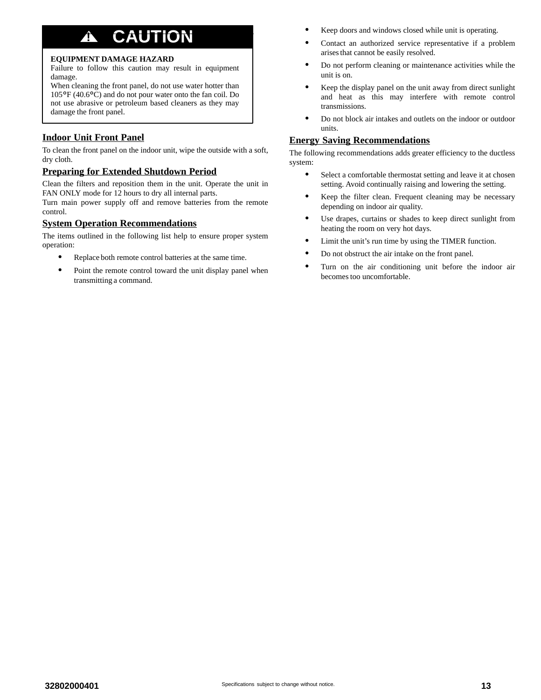## **! CAUTION**

#### **EQUIPMENT DAMAGE HAZARD**

Failure to follow this caution may result in equipment damage.

When cleaning the front panel, do not use water hotter than <sup>105</sup>°F (40.6°C) and do not pour water onto the fan coil. Do not use abrasive or petroleum based cleaners as they may damage the front panel.

#### **Indoor Unit Front Panel**

To clean the front panel on the indoor unit, wipe the outside with a soft, dry cloth.

#### **Preparing for Extended Shutdown Period**

Clean the filters and reposition them in the unit. Operate the unit in FAN ONLY mode for 12 hours to dry all internal parts.

Turn main power supply off and remove batteries from the remote control.

#### **System Operation Recommendations**

The items outlined in the following list help to ensure proper system operation:

- $\bullet$ Replace both remote control batteries at the same time.
- $\bullet$  Point the remote control toward the unit display panel when transmitting a command.
- -Keep doors and windows closed while unit is operating.
- - Contact an authorized service representative if a problem arises that cannot be easily resolved.
- - Do not perform cleaning or maintenance activities while the unit is on.
- - Keep the display panel on the unit away from direct sunlight and heat as this may interfere with remote control transmissions.
- - Do not block air intakes and outlets on the indoor or outdoor units.

#### **Energy Saving Recommendations**

The following recommendations adds greater efficiency to the ductless system:

- $\bullet$  Select a comfortable thermostat setting and leave it at chosen setting. Avoid continually raising and lowering the setting.
- - Keep the filter clean. Frequent cleaning may be necessary depending on indoor air quality.
- - Use drapes, curtains or shades to keep direct sunlight from heating the room on very hot days.
- -Limit the unit's run time by using the TIMER function.
- -Do not obstruct the air intake on the front panel.
- - Turn on the air conditioning unit before the indoor air becomes too uncomfortable.